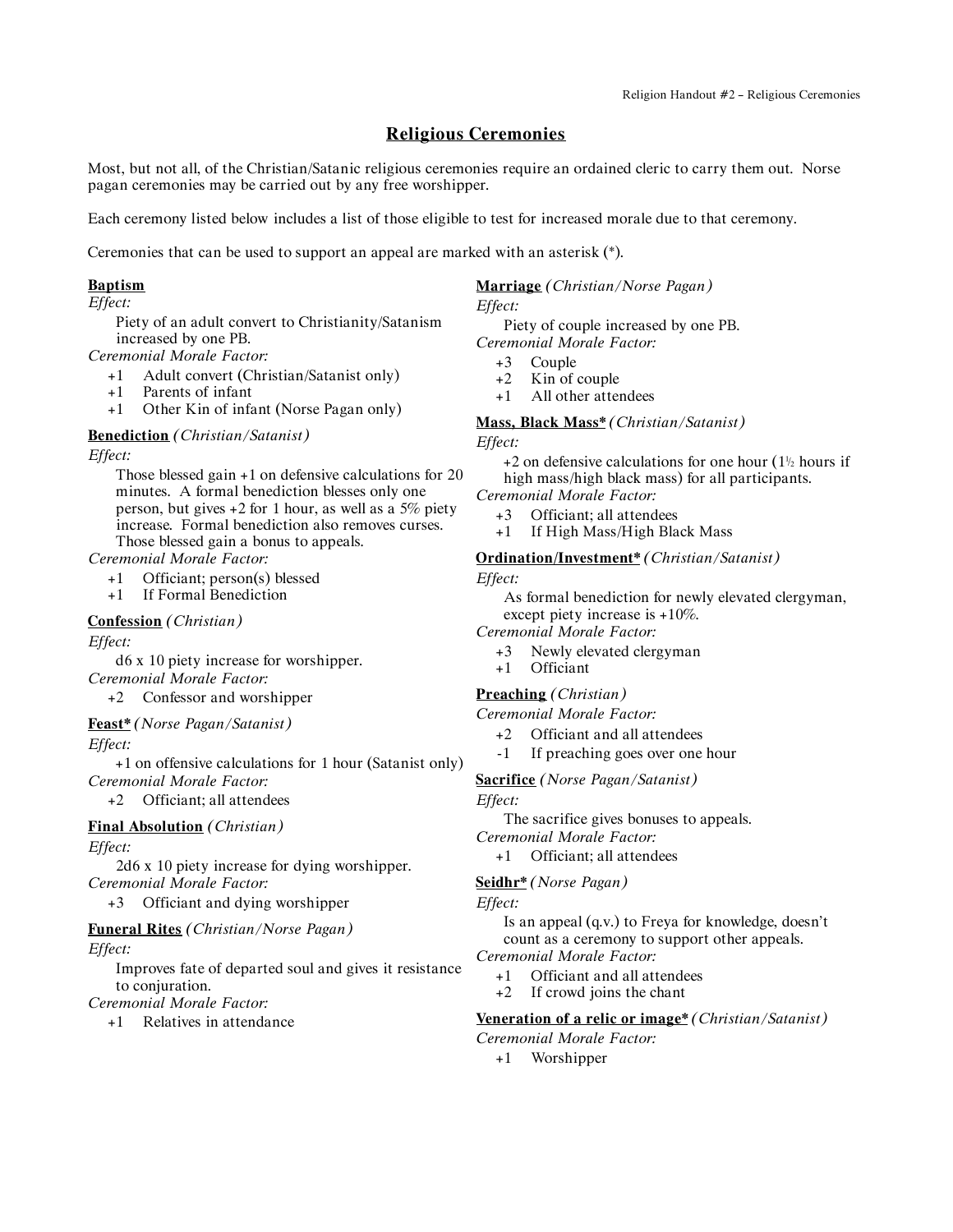# **Religious Ceremonies**

Most, but not all, of the Christian/Satanic religious ceremonies require an ordained cleric to carry them out. Norse pagan ceremonies may be carried out by any free worshipper.

Each ceremony listed below includes a list of those eligible to test for increased morale due to that ceremony.

Ceremonies that can be used to support an appeal are marked with an asterisk (\*).

# **Baptism**

#### *Effect:*

Piety of an adult convert to Christianity/Satanism increased by one PB.

*Ceremonial Morale Factor:*

- +1 Adult convert (Christian/Satanist only)
- +1 Parents of infant
- +1 Other Kin of infant (Norse Pagan only)

## **Benediction** *(Christian/Satanist)*

*Effect:*

Those blessed gain +1 on defensive calculations for 20 minutes. A formal benediction blesses only one person, but gives  $+2$  for 1 hour, as well as a 5% piety increase. Formal benediction also removes curses. Those blessed gain a bonus to appeals.

*Ceremonial Morale Factor:*

- +1 Officiant; person(s) blessed
- +1 If Formal Benediction

**Confession** *(Christian)*

### *Effect:*

d6 x 10 piety increase for worshipper. *Ceremonial Morale Factor:*

+2 Confessor and worshipper

# **Feast\*** *(Norse Pagan/Satanist)*

*Effect:*

+1 on offensive calculations for 1 hour (Satanist only) *Ceremonial Morale Factor:*

+2 Officiant; all attendees

# **Final Absolution** *(Christian)*

*Effect:*

2d6 x 10 piety increase for dying worshipper. *Ceremonial Morale Factor:*

+3 Officiant and dying worshipper

### **Funeral Rites** *(Christian/Norse Pagan)*

*Effect:*

Improves fate of departed soul and gives it resistance to conjuration.

*Ceremonial Morale Factor:*

+1 Relatives in attendance

## **Marriage** *(Christian/Norse Pagan)*

*Effect:*

Piety of couple increased by one PB. *Ceremonial Morale Factor:*

- 
- $+3$  Couple<br> $+2$  Kin of Kin of couple
- +1 All other attendees

**Mass, Black Mass\*** *(Christian/Satanist)*

#### *Effect:*

 $+2$  on defensive calculations for one hour ( $1\frac{1}{2}$  hours if high mass/high black mass) for all participants.

*Ceremonial Morale Factor:*

- +3 Officiant; all attendees
- +1 If High Mass/High Black Mass

#### **Ordination/Investment\*** *(Christian/Satanist)*

*Effect:*

As formal benediction for newly elevated clergyman, except piety increase is +10%.

*Ceremonial Morale Factor:*

- +3 Newly elevated clergyman
- +1 Officiant

## **Preaching** *(Christian)*

*Ceremonial Morale Factor:*

- +2 Officiant and all attendees
- -1 If preaching goes over one hour

**Sacrifice** *(Norse Pagan/Satanist)*

*Effect:*

The sacrifice gives bonuses to appeals.

*Ceremonial Morale Factor:*

# +1 Officiant; all attendees

# **Seidhr\*** *(Norse Pagan)*

*Effect:*

Is an appeal (q.v.) to Freya for knowledge, doesn't count as a ceremony to support other appeals. *Ceremonial Morale Factor:*

+1 Officiant and all attendees

+2 If crowd joins the chant

**Veneration of a relic or image\*** *(Christian/Satanist)*

*Ceremonial Morale Factor:*

+1 Worshipper